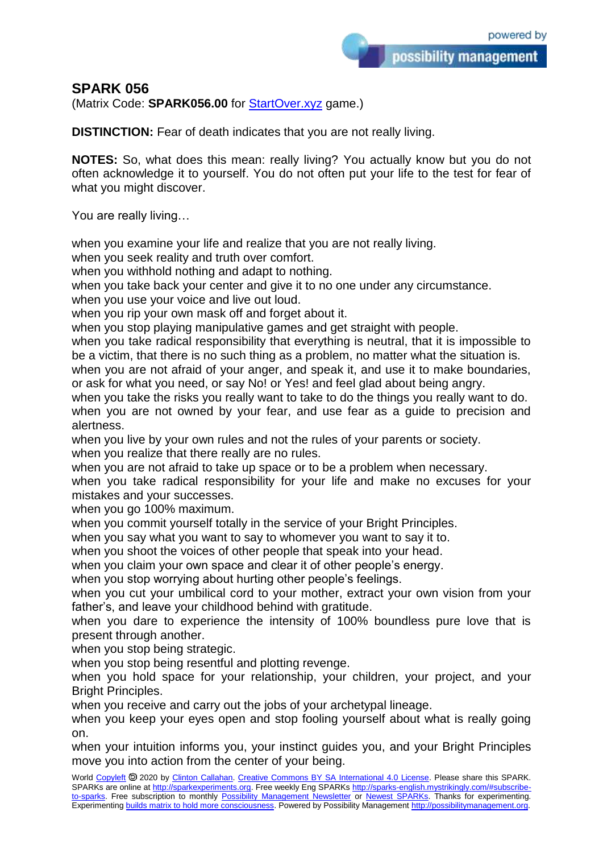## **SPARK 056**

(Matrix Code: **SPARK056.00** for [StartOver.xyz](https://startoverxyz.mystrikingly.com/) game.)

**DISTINCTION:** Fear of death indicates that you are not really living.

**NOTES:** So, what does this mean: really living? You actually know but you do not often acknowledge it to yourself. You do not often put your life to the test for fear of what you might discover.

You are really living…

when you examine your life and realize that you are not really living.

when you seek reality and truth over comfort.

when you withhold nothing and adapt to nothing.

when you take back your center and give it to no one under any circumstance.

when you use your voice and live out loud.

when you rip your own mask off and forget about it.

when you stop playing manipulative games and get straight with people.

when you take radical responsibility that everything is neutral, that it is impossible to be a victim, that there is no such thing as a problem, no matter what the situation is.

when you are not afraid of your anger, and speak it, and use it to make boundaries, or ask for what you need, or say No! or Yes! and feel glad about being angry.

when you take the risks you really want to take to do the things you really want to do. when you are not owned by your fear, and use fear as a guide to precision and alertness.

when you live by your own rules and not the rules of your parents or society. when you realize that there really are no rules.

when you are not afraid to take up space or to be a problem when necessary.

when you take radical responsibility for your life and make no excuses for your mistakes and your successes.

when you go 100% maximum.

when you commit yourself totally in the service of your Bright Principles.

when you say what you want to say to whomever you want to say it to.

when you shoot the voices of other people that speak into your head.

when you claim your own space and clear it of other people's energy.

when you stop worrying about hurting other people's feelings.

when you cut your umbilical cord to your mother, extract your own vision from your father's, and leave your childhood behind with gratitude.

when you dare to experience the intensity of 100% boundless pure love that is present through another.

when you stop being strategic.

when you stop being resentful and plotting revenge.

when you hold space for your relationship, your children, your project, and your Bright Principles.

when you receive and carry out the jobs of your archetypal lineage.

when you keep your eyes open and stop fooling yourself about what is really going on.

when your intuition informs you, your instinct guides you, and your Bright Principles move you into action from the center of your being.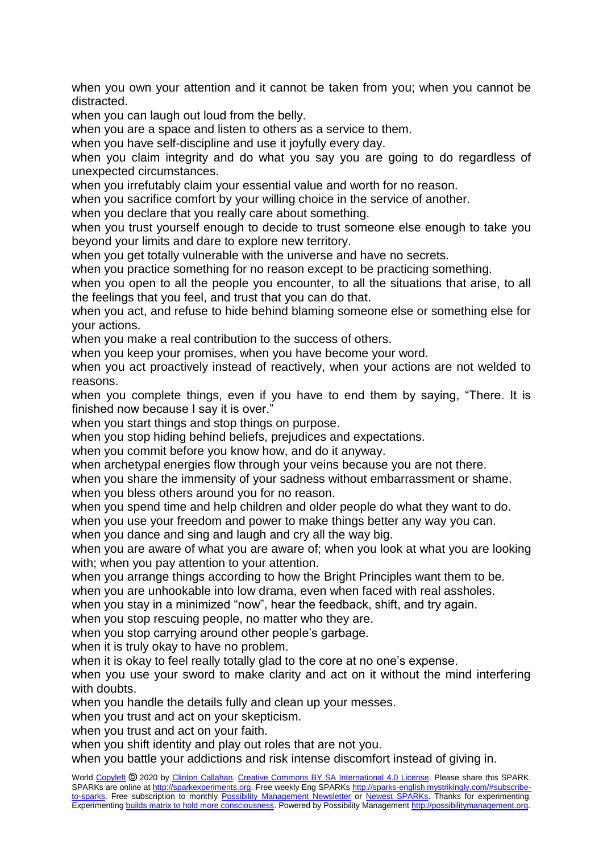when you own your attention and it cannot be taken from you; when you cannot be distracted.

when you can laugh out loud from the belly.

when you are a space and listen to others as a service to them.

when you have self-discipline and use it joyfully every day.

when you claim integrity and do what you say you are going to do regardless of unexpected circumstances.

when you irrefutably claim your essential value and worth for no reason.

when you sacrifice comfort by your willing choice in the service of another.

when you declare that you really care about something.

when you trust yourself enough to decide to trust someone else enough to take you beyond your limits and dare to explore new territory.

when you get totally vulnerable with the universe and have no secrets.

when you practice something for no reason except to be practicing something.

when you open to all the people you encounter, to all the situations that arise, to all the feelings that you feel, and trust that you can do that.

when you act, and refuse to hide behind blaming someone else or something else for your actions.

when you make a real contribution to the success of others.

when you keep your promises, when you have become your word.

when you act proactively instead of reactively, when your actions are not welded to reasons.

when you complete things, even if you have to end them by saying, "There. It is finished now because I say it is over."

when you start things and stop things on purpose.

when you stop hiding behind beliefs, prejudices and expectations.

when you commit before you know how, and do it anyway.

when archetypal energies flow through your veins because you are not there.

when you share the immensity of your sadness without embarrassment or shame.

when you bless others around you for no reason.

when you spend time and help children and older people do what they want to do.

when you use your freedom and power to make things better any way you can.

when you dance and sing and laugh and cry all the way big.

when you are aware of what you are aware of; when you look at what you are looking with; when you pay attention to your attention.

when you arrange things according to how the Bright Principles want them to be.

when you are unhookable into low drama, even when faced with real assholes.

when you stay in a minimized "now", hear the feedback, shift, and try again.

when you stop rescuing people, no matter who they are.

when you stop carrying around other people's garbage.

when it is truly okay to have no problem.

when it is okay to feel really totally glad to the core at no one's expense.

when you use your sword to make clarity and act on it without the mind interfering with doubts.

when you handle the details fully and clean up your messes.

when you trust and act on your skepticism.

when you trust and act on your faith.

when you shift identity and play out roles that are not you.

when you battle your addictions and risk intense discomfort instead of giving in.